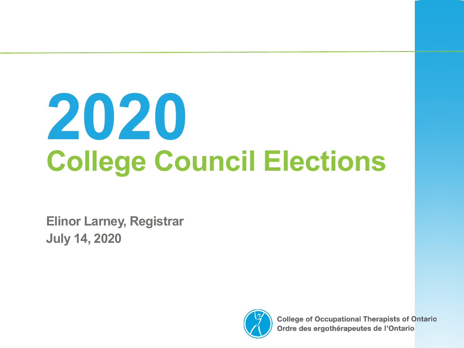# **2020 College Council Elections**

**Elinor Larney, Registrar July 14, 2020**



**College of Occupational Therapists of Ontario** Ordre des ergothérapeutes de l'Ontario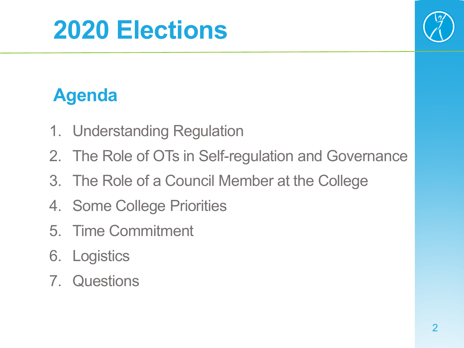

#### **Agenda**

- 1. Understanding Regulation
- 2. The Role of OTs in Self-regulation and Governance
- 3. The Role of a Council Member at the College
- 4. Some College Priorities
- 5. Time Commitment
- 6. Logistics
- 7. Questions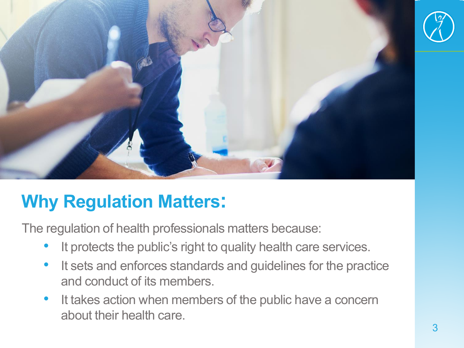

#### **Why Regulation Matters:**

The regulation of health professionals matters because:

- It protects the public's right to quality health care services.
- It sets and enforces standards and guidelines for the practice and conduct of its members.
- It takes action when members of the public have a concern about their health care.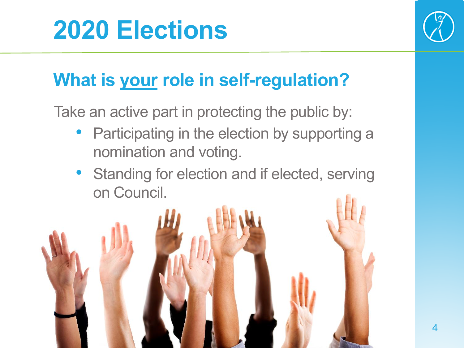

### **What is your role in self-regulation?**

Take an active part in protecting the public by:

- Participating in the election by supporting a nomination and voting.
- Standing for election and if elected, serving on Council.

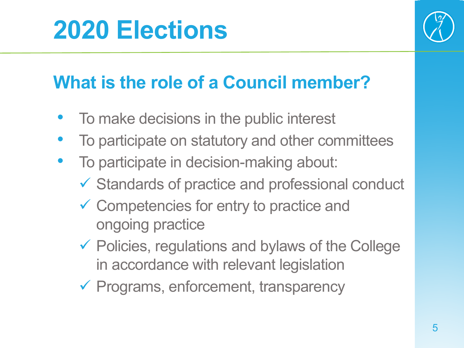

### **What is the role of a Council member?**

- To make decisions in the public interest
- To participate on statutory and other committees
- To participate in decision-making about:
	- $\checkmark$  Standards of practice and professional conduct
	- Competencies for entry to practice and ongoing practice
	- $\checkmark$  Policies, regulations and bylaws of the College in accordance with relevant legislation
	- $\checkmark$  Programs, enforcement, transparency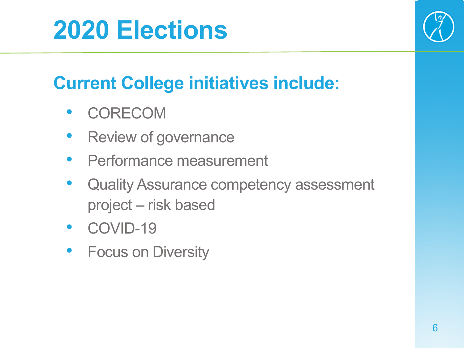

#### **Current College initiatives include:**

- **CORECOM**
- Review of governance
- Performance measurement
- Quality Assurance competency assessment project – risk based
- COVID-19
- Focus on Diversity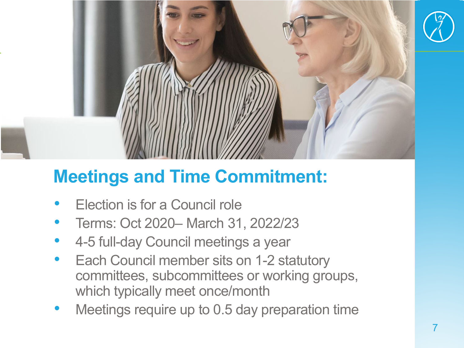

#### **Meetings and Time Commitment:**

- Election is for a Council role
- Terms: Oct 2020– March 31, 2022/23
- 4-5 full-day Council meetings a year
- Each Council member sits on 1-2 statutory committees, subcommittees or working groups, which typically meet once/month
- Meetings require up to 0.5 day preparation time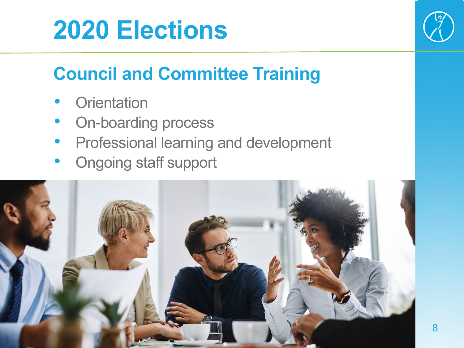

#### **Council and Committee Training**

- **Orientation**
- On-boarding process
- Professional learning and development
- Ongoing staff support

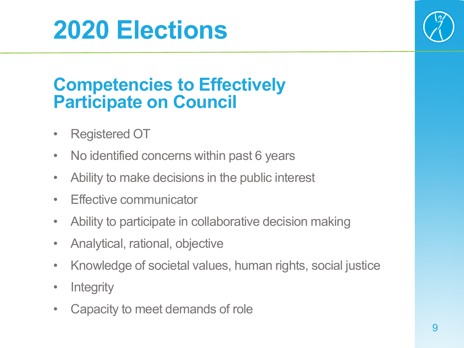

#### **Competencies to Effectively Participate on Council**

- Registered OT
- No identified concerns within past 6 years
- Ability to make decisions in the public interest
- Effective communicator
- Ability to participate in collaborative decision making
- Analytical, rational, objective
- Knowledge of societal values, human rights, social justice
- Integrity
- Capacity to meet demands of role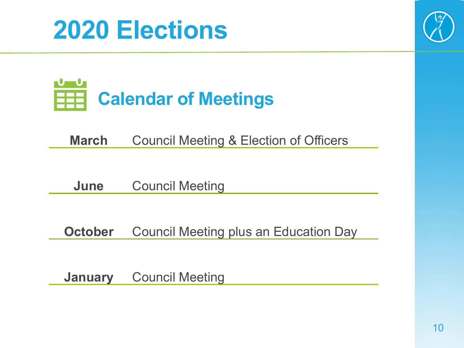



**March** Council Meeting & Election of Officers

**June** Council Meeting

**October** Council Meeting plus an Education Day

**January** Council Meeting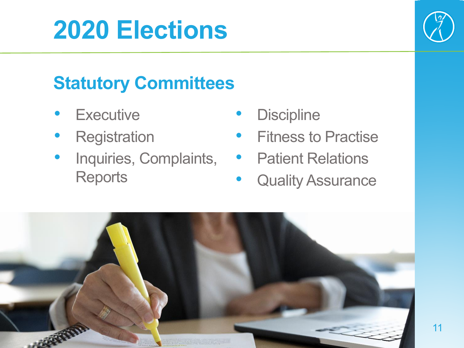

#### **Statutory Committees**

- **Executive**
- **Registration**
- Inquiries, Complaints, **Reports**
- **Discipline**
- Fitness to Practise
- Patient Relations
- Quality Assurance

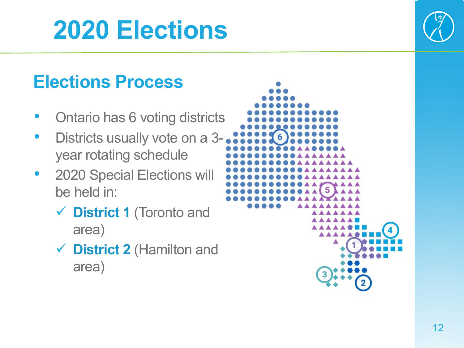#### **Elections Process**

- Ontario has 6 voting districts
- Districts usually vote on a 3 year rotating schedule
- 2020 Special Elections will be held in:
	- **District 1** (Toronto and area)
	- **District 2** (Hamilton and area)

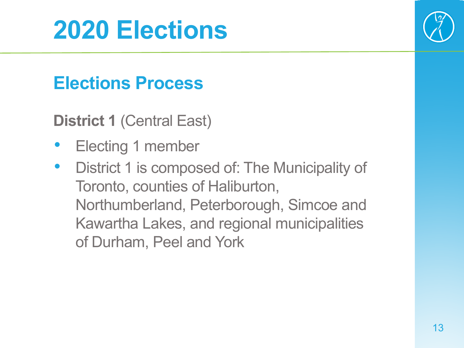

#### **Elections Process**

**District 1** (Central East)

- Electing 1 member
- District 1 is composed of: The Municipality of Toronto, counties of Haliburton, Northumberland, Peterborough, Simcoe and Kawartha Lakes, and regional municipalities of Durham, Peel and York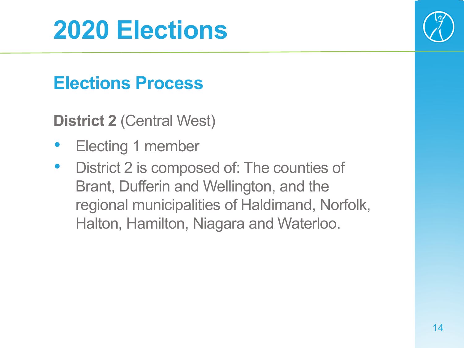#### **Elections Process**

**District 2** (Central West)

- Electing 1 member
- District 2 is composed of: The counties of Brant, Dufferin and Wellington, and the regional municipalities of Haldimand, Norfolk, Halton, Hamilton, Niagara and Waterloo.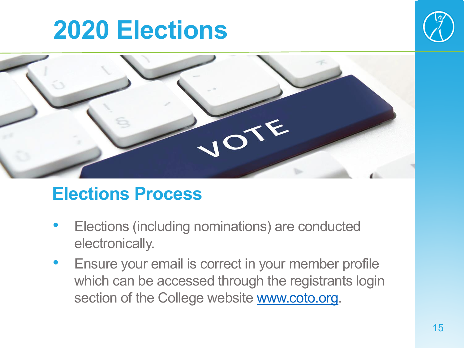



#### **Elections Process**

- Elections (including nominations) are conducted electronically.
- Ensure your email is correct in your member profile which can be accessed through the registrants login section of the College website [www.coto.org.](http://www.coto.org/)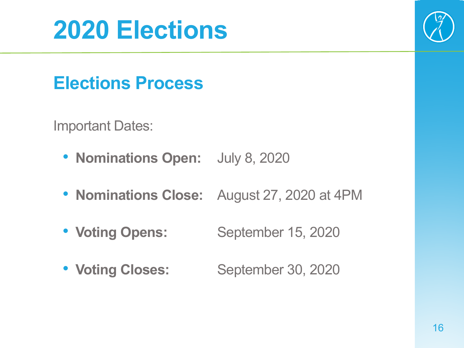

#### **Elections Process**

Important Dates:

- **Nominations Open:** July 8, 2020
- **Nominations Close:** August 27, 2020 at 4PM
- Voting Opens: September 15, 2020
- Voting Closes: September 30, 2020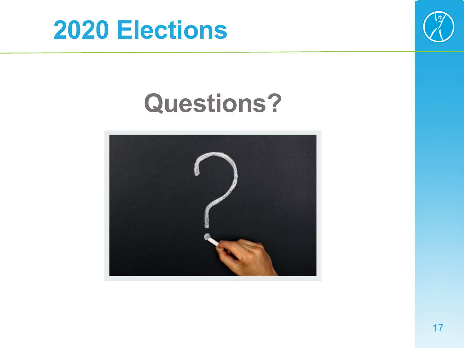



## **Questions?**